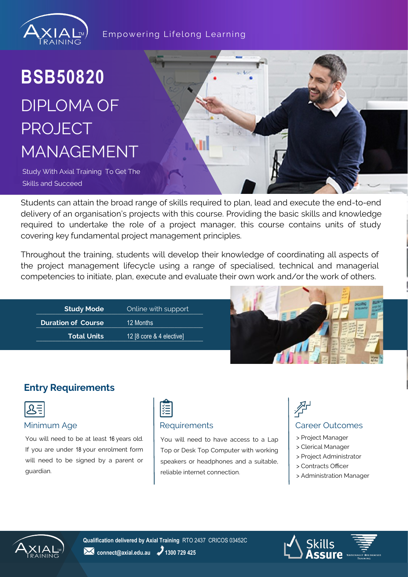

#### Empowering Lifelong Learning

## **BSB50820** DIPLOMA OF PROJECT MANAGEMENT

Study With Axial Training To Get The Skills and Succeed

Students can attain the broad range of skills required to plan, lead and execute the end-to-end delivery of an organisation's projects with this course. Providing the basic skills and knowledge required to undertake the role of a project manager, this course contains units of study covering key fundamental project management principles.

Throughout the training, students will develop their knowledge of coordinating all aspects of the project management lifecycle using a range of specialised, technical and managerial competencies to initiate, plan, execute and evaluate their own work and/or the work of others.



### **Entry Requirements**



#### Minimum Age **Requirements Requirements Requirements Requirements Requirements**

You will need to be at least 16 years old. If you are under 18 your enrolment form will need to be signed by a parent or guardian.



You will need to have access to a Lap Top or Desk Top Computer with working speakers or headphones and a suitable, reliable internet connection.

- > Project Manager
- > Clerical Manager
- > Project Administrator
- > Contracts Officer
- > Administration Manager